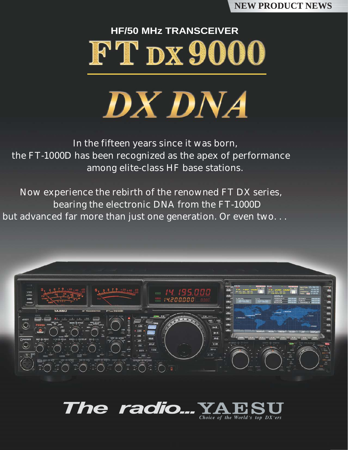#### **NEW PRODUCT NEWS**

# **HF/50 MHz TRANSCEIVER** FT DX9000



In the fifteen years since it was born, the FT-1000D has been recognized as the apex of performance among elite-class HF base stations.

Now experience the rebirth of the renowned FT DX series, bearing the electronic DNA from the FT-1000D but advanced far more than just one generation. Or even two. . .



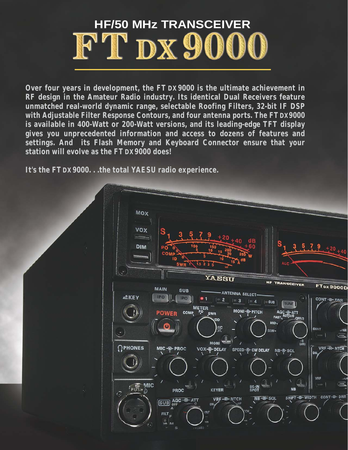

**Over four years in development, the FT DX 9000 is the ultimate achievement in RF design in the Amateur Radio industry. Its identical Dual Receivers feature unmatched real-world dynamic range, selectable Roofing Filters, 32-bit IF DSP with Adjustable Filter Response Contours, and four antenna ports. The FT DX 9000 is available in 400-Watt or 200-Watt versions, and its leading-edge TFT display gives you unprecedented information and access to dozens of features and settings. And its Flash Memory and Keyboard Connector ensure that your station will evolve as the FT DX 9000 does!** 

**It's the FT DX9000. . .the total YAESU radio experience.**

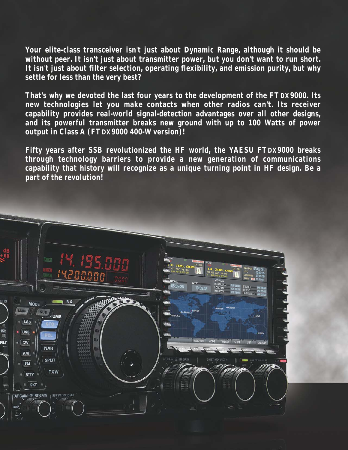**Your elite-class transceiver isn't just about Dynamic Range, although it should be without peer. It isn't just about transmitter power, but you don't want to run short. It isn't just about filter selection, operating flexibility, and emission purity, but why settle for less than the very best?**

**That's why we devoted the last four years to the development of the FT DX9000. Its new technologies let you make contacts when other radios can't. Its receiver capability provides real-world signal-detection advantages over all other designs, and its powerful transmitter breaks new ground with up to 100 Watts of power output in Class A (FT DX9000 400-W version)!**

**Fifty years after SSB revolutionized the HF world, the YAESU FTDX9000 breaks through technology barriers to provide a new generation of communications capability that history will recognize as a unique turning point in HF design. Be a part of the revolution!**